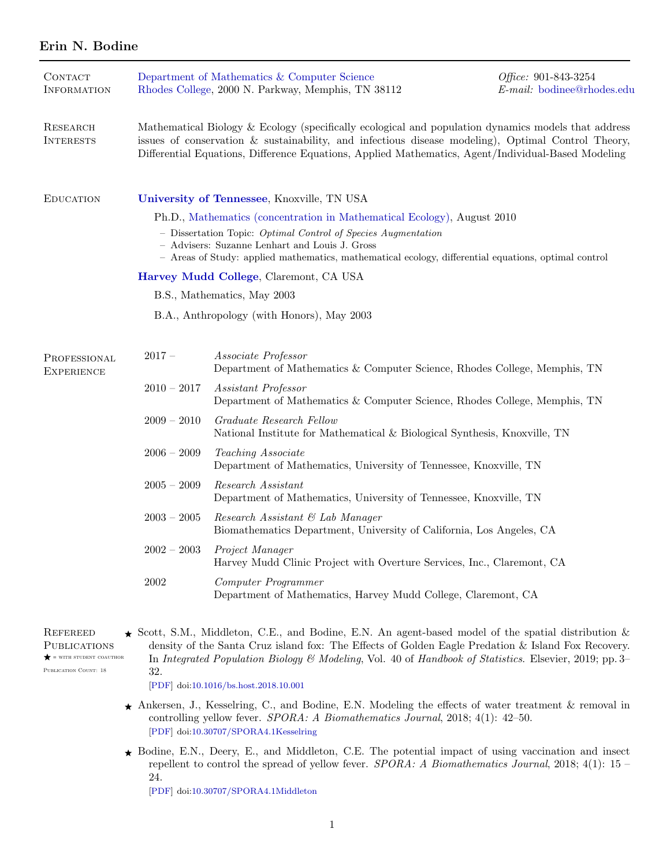# Erin N. Bodine

| CONTACT<br><b>INFORMATION</b>     |                                                                                                                                                                                                                                                                                                                    | Department of Mathematics & Computer Science<br>Rhodes College, 2000 N. Parkway, Memphis, TN 38112       | Office: 901-843-3254<br>E-mail: bodinee@rhodes.edu |  |  |
|-----------------------------------|--------------------------------------------------------------------------------------------------------------------------------------------------------------------------------------------------------------------------------------------------------------------------------------------------------------------|----------------------------------------------------------------------------------------------------------|----------------------------------------------------|--|--|
| RESEARCH<br><b>INTERESTS</b>      | Mathematical Biology & Ecology (specifically ecological and population dynamics models that address<br>issues of conservation $\&$ sustainability, and infectious disease modeling), Optimal Control Theory,<br>Differential Equations, Difference Equations, Applied Mathematics, Agent/Individual-Based Modeling |                                                                                                          |                                                    |  |  |
| <b>EDUCATION</b>                  | University of Tennessee, Knoxville, TN USA                                                                                                                                                                                                                                                                         |                                                                                                          |                                                    |  |  |
|                                   | Ph.D., Mathematics (concentration in Mathematical Ecology), August 2010                                                                                                                                                                                                                                            |                                                                                                          |                                                    |  |  |
|                                   | - Dissertation Topic: Optimal Control of Species Augmentation<br>- Advisers: Suzanne Lenhart and Louis J. Gross<br>- Areas of Study: applied mathematics, mathematical ecology, differential equations, optimal control                                                                                            |                                                                                                          |                                                    |  |  |
|                                   | Harvey Mudd College, Claremont, CA USA                                                                                                                                                                                                                                                                             |                                                                                                          |                                                    |  |  |
|                                   | B.S., Mathematics, May 2003                                                                                                                                                                                                                                                                                        |                                                                                                          |                                                    |  |  |
|                                   | B.A., Anthropology (with Honors), May 2003                                                                                                                                                                                                                                                                         |                                                                                                          |                                                    |  |  |
|                                   |                                                                                                                                                                                                                                                                                                                    |                                                                                                          |                                                    |  |  |
| PROFESSIONAL<br><b>EXPERIENCE</b> | $2017-$                                                                                                                                                                                                                                                                                                            | Associate Professor<br>Department of Mathematics & Computer Science, Rhodes College, Memphis, TN         |                                                    |  |  |
|                                   | $2010 - 2017$                                                                                                                                                                                                                                                                                                      | <i>Assistant Professor</i><br>Department of Mathematics & Computer Science, Rhodes College, Memphis, TN  |                                                    |  |  |
|                                   | $2009 - 2010$                                                                                                                                                                                                                                                                                                      | Graduate Research Fellow<br>National Institute for Mathematical & Biological Synthesis, Knoxville, TN    |                                                    |  |  |
|                                   | $2006 - 2009$                                                                                                                                                                                                                                                                                                      | Teaching Associate<br>Department of Mathematics, University of Tennessee, Knoxville, TN                  |                                                    |  |  |
|                                   | $2005 - 2009$                                                                                                                                                                                                                                                                                                      | Research Assistant<br>Department of Mathematics, University of Tennessee, Knoxville, TN                  |                                                    |  |  |
|                                   | $2003 - 2005$                                                                                                                                                                                                                                                                                                      | Research Assistant & Lab Manager<br>Biomathematics Department, University of California, Los Angeles, CA |                                                    |  |  |
|                                   | $2002 - 2003$                                                                                                                                                                                                                                                                                                      | Project Manager<br>Harvey Mudd Clinic Project with Overture Services, Inc., Claremont, CA                |                                                    |  |  |
|                                   | 2002                                                                                                                                                                                                                                                                                                               | Computer Programmer<br>Department of Mathematics, Harvey Mudd College, Claremont, CA                     |                                                    |  |  |
|                                   |                                                                                                                                                                                                                                                                                                                    |                                                                                                          |                                                    |  |  |

**REFEREED PUBLICATIONS**  $\bigstar$  = with student coauthor

PUBLICATION COUNT: 18

 $\star$  Scott, S.M., Middleton, C.E., and Bodine, E.N. An agent-based model of the spatial distribution  $\&$ density of the Santa Cruz island fox: The Effects of Golden Eagle Predation & Island Fox Recovery. In Integrated Population Biology & Modeling, Vol. 40 of Handbook of Statistics. Elsevier, 2019; pp. 3– 32.

[\[PDF\]](https://www.dropbox.com/s/2f4oqlfttnxjazt/Bodine2019-BookCh-FoxEagle.pdf?dl=0) doi[:10.1016/bs.host.2018.10.001](http://dx.doi.org/10.1016/bs.host.2018.10.001)

- $\star$  Ankersen, J., Kesselring, C., and Bodine, E.N. Modeling the effects of water treatment & removal in controlling yellow fever. SPORA: A Biomathematics Journal, 2018; 4(1): 42–50. [\[PDF\]](https://www.dropbox.com/s/k35mkwfgvec8wrk/Bodine2018-SPORA-YellowFeverWater.pdf?dl=0) doi[:10.30707/SPORA4.1Kesselring](http://dx.doi.org/10.30707/SPORA4.1Kesselring)
- ☀ Bodine, E.N., Deery, E., and Middleton, C.E. The potential impact of using vaccination and insect repellent to control the spread of yellow fever. SPORA: A Biomathematics Journal, 2018; 4(1): 15 – 24. [\[PDF\]](https://www.dropbox.com/s/8hvqwxsnvbkzryh/Bodine2018-SPORA-YellowFeverVac%26Rep.pdf?dl=0) doi[:10.30707/SPORA4.1Middleton](http://dx.doi.org/10.30707/SPORA4.1Middleton)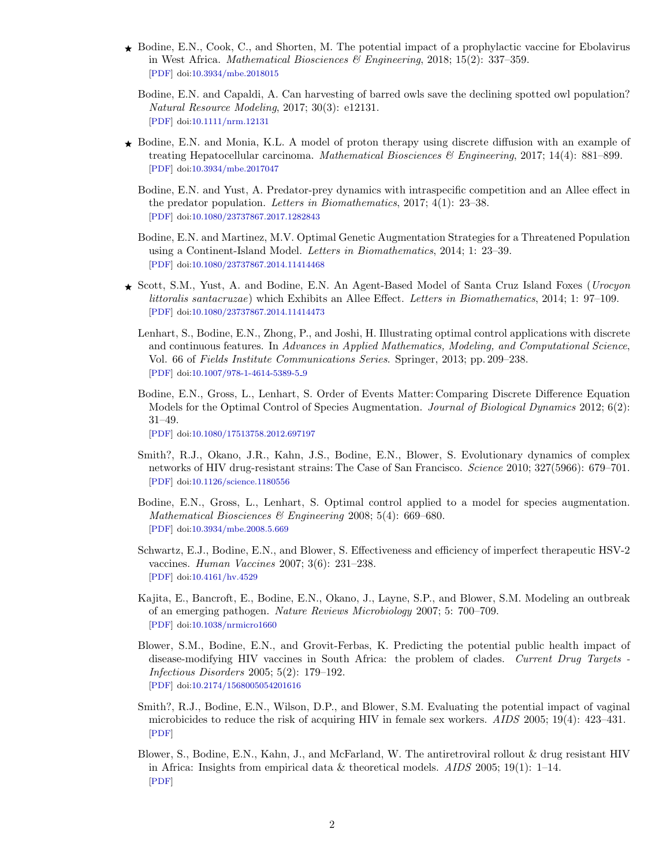- ☀ Bodine, E.N., Cook, C., and Shorten, M. The potential impact of a prophylactic vaccine for Ebolavirus in West Africa. *Mathematical Biosciences*  $\mathscr$ *Engineering*, 2018; 15(2): 337-359. [\[PDF\]](https://www.dropbox.com/s/8ukc5kbkemgcugn/Bodine2018-MBE-Ebola.pdf?dl=0) doi[:10.3934/mbe.2018015](http://dx.doi.org/10.3934/mbe.2018015)
	- Bodine, E.N. and Capaldi, A. Can harvesting of barred owls save the declining spotted owl population? Natural Resource Modeling, 2017; 30(3): e12131. [\[PDF\]](https://www.dropbox.com/s/9ebw0aqnvko04kl/Bodine2017-NRM-Owls.pdf?dl=0) doi[:10.1111/nrm.12131](http://dx.doi.org/10.1111/nrm.12131)
- ☀ Bodine, E.N. and Monia, K.L. A model of proton therapy using discrete diffusion with an example of treating Hepatocellular carcinoma. Mathematical Biosciences  $\mathcal{B}$  Engineering, 2017; 14(4): 881–899. [\[PDF\]](https://www.dropbox.com/s/lp6hj8u9duq0xa0/Bodine2017-MBE-Cancer.pdf?dl=0) doi[:10.3934/mbe.2017047](http://dx.doi.org/10.3934/mbe.2017047)
	- Bodine, E.N. and Yust, A. Predator-prey dynamics with intraspecific competition and an Allee effect in the predator population. Letters in Biomathematics, 2017; 4(1): 23–38. [\[PDF\]](https://www.dropbox.com/s/qdm2hztu77bbi54/Bodine2017-LiB-PredPrey.pdf?dl=0) doi[:10.1080/23737867.2017.1282843](http://dx.doi.org/10.1080/23737867.2017.1282843)
	- Bodine, E.N. and Martinez, M.V. Optimal Genetic Augmentation Strategies for a Threatened Population using a Continent-Island Model. Letters in Biomathematics, 2014; 1: 23–39. [\[PDF\]](https://www.dropbox.com/s/3g12hdje8si7muk/Bodine2014-LiB-GenAug.pdf?dl=0) doi[:10.1080/23737867.2014.11414468](http://dx.doi.org/10.1080/23737867.2014.11414468)
- ☀ Scott, S.M., Yust, A. and Bodine, E.N. An Agent-Based Model of Santa Cruz Island Foxes (Urocyon littoralis santacruzae) which Exhibits an Allee Effect. Letters in Biomathematics, 2014; 1: 97–109. [\[PDF\]](https://www.dropbox.com/s/233b5i9mku5uo9w/Bodine2014-LiB-SCIFox.pdf?dl=0) doi[:10.1080/23737867.2014.11414473](http://dx.doi.org/10.1080/23737867.2014.11414473)
	- Lenhart, S., Bodine, E.N., Zhong, P., and Joshi, H. Illustrating optimal control applications with discrete and continuous features. In Advances in Applied Mathematics, Modeling, and Computational Science, Vol. 66 of Fields Institute Communications Series. Springer, 2013; pp. 209–238. [\[PDF\]](https://www.dropbox.com/s/p9869220u5lu09x/Bodine2013-BookCh-OC.pdf?dl=0) doi[:10.1007/978-1-4614-5389-5](http://dx.doi.org/10.1007/978-1-4614-5389-5_9) 9
	- Bodine, E.N., Gross, L., Lenhart, S. Order of Events Matter: Comparing Discrete Difference Equation Models for the Optimal Control of Species Augmentation. Journal of Biological Dynamics 2012; 6(2): 31–49.

[\[PDF\]](https://www.dropbox.com/s/id0lmecdjyxey9h/Bodine2012-JBD-OCAug.pdf?dl=0) doi[:10.1080/17513758.2012.697197](http://dx.doi.org/10.1080/17513758.2012.697197)

- Smith?, R.J., Okano, J.R., Kahn, J.S., Bodine, E.N., Blower, S. Evolutionary dynamics of complex networks of HIV drug-resistant strains: The Case of San Francisco. Science 2010; 327(5966): 679–701. [\[PDF\]](https://www.dropbox.com/s/7gu11qs81619q5h/Bodine2010-Science-HIV.pdf?dl=0) doi[:10.1126/science.1180556](http://dx.doi.org/10.1126/science.1180556)
- Bodine, E.N., Gross, L., Lenhart, S. Optimal control applied to a model for species augmentation. Mathematical Biosciences & Engineering 2008; 5(4): 669–680. [\[PDF\]](https://www.dropbox.com/s/0uc79y5gz73vzda/Bodine2008-MBE-OCAug.pdf?dl=0) doi[:10.3934/mbe.2008.5.669](http://dx.doi.org/10.3934/mbe.2008.5.669)
- Schwartz, E.J., Bodine, E.N., and Blower, S. Effectiveness and efficiency of imperfect therapeutic HSV-2 vaccines. Human Vaccines 2007; 3(6): 231–238. [\[PDF\]](https://www.dropbox.com/s/rkfwgrn0dltto5s/Bodine2007-HumanVaccines-HSV.pdf?dl=0) doi[:10.4161/hv.4529](http://dx.doi.org/10.4161/hv.4529)
- Kajita, E., Bancroft, E., Bodine, E.N., Okano, J., Layne, S.P., and Blower, S.M. Modeling an outbreak of an emerging pathogen. Nature Reviews Microbiology 2007; 5: 700–709. [\[PDF\]](https://www.dropbox.com/s/12d32rkkr37te1i/Bodine2007-NatureRMicro-MRSA.pdf?dl=0) doi[:10.1038/nrmicro1660](http://dx.doi.org/10.1038/nrmicro1660)
- Blower, S.M., Bodine, E.N., and Grovit-Ferbas, K. Predicting the potential public health impact of disease-modifying HIV vaccines in South Africa: the problem of clades. Current Drug Targets - Infectious Disorders 2005; 5(2): 179–192. [\[PDF\]](https://www.dropbox.com/s/c4gerpp46hmck3x/Bodine2005-CDTID-HIV.pdf?dl=0) doi[:10.2174/1568005054201616](http://dx.doi.org/10.2174/1568005054201616)
- Smith?, R.J., Bodine, E.N., Wilson, D.P., and Blower, S.M. Evaluating the potential impact of vaginal microbicides to reduce the risk of acquiring HIV in female sex workers. AIDS 2005; 19(4): 423–431. [\[PDF\]](https://www.dropbox.com/s/u9wjena53wglpxj/Bodine2005-AIDS-VagMicrobicides.pdf?dl=0)
- Blower, S., Bodine, E.N., Kahn, J., and McFarland, W. The antiretroviral rollout & drug resistant HIV in Africa: Insights from empirical data & theoretical models. AIDS 2005; 19(1): 1–14. [\[PDF\]](https://www.dropbox.com/s/lerg1m2rnxam5km/Bodine2005-AIDS-HIVDR.pdf?dl=0)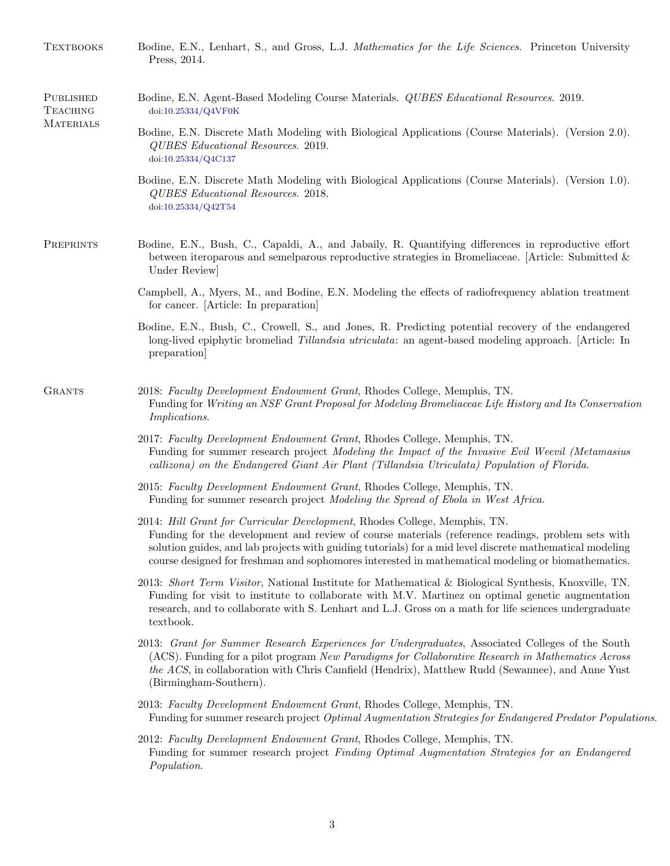| <b>TEXTBOOKS</b>                                        | Bodine, E.N., Lenhart, S., and Gross, L.J. Mathematics for the Life Sciences. Princeton University<br>Press, 2014.                                                                                                                                                                                                                                                                               |  |  |  |
|---------------------------------------------------------|--------------------------------------------------------------------------------------------------------------------------------------------------------------------------------------------------------------------------------------------------------------------------------------------------------------------------------------------------------------------------------------------------|--|--|--|
| <b>PUBLISHED</b><br><b>TEACHING</b><br><b>MATERIALS</b> | Bodine, E.N. Agent-Based Modeling Course Materials. <i>QUBES Educational Resources</i> . 2019.<br>doi:10.25334/Q4VF0K                                                                                                                                                                                                                                                                            |  |  |  |
|                                                         | Bodine, E.N. Discrete Math Modeling with Biological Applications (Course Materials). (Version 2.0).<br>QUBES Educational Resources. 2019.<br>doi:10.25334/Q4C137                                                                                                                                                                                                                                 |  |  |  |
|                                                         | Bodine, E.N. Discrete Math Modeling with Biological Applications (Course Materials). (Version 1.0).<br>QUBES Educational Resources. 2018.<br>doi:10.25334/Q42T54                                                                                                                                                                                                                                 |  |  |  |
| PREPRINTS                                               | Bodine, E.N., Bush, C., Capaldi, A., and Jabaily, R. Quantifying differences in reproductive effort<br>between iteroparous and semelparous reproductive strategies in Bromeliaceae. [Article: Submitted $\&$<br>Under Review                                                                                                                                                                     |  |  |  |
|                                                         | Campbell, A., Myers, M., and Bodine, E.N. Modeling the effects of radiofrequency ablation treatment<br>for cancer. [Article: In preparation]                                                                                                                                                                                                                                                     |  |  |  |
|                                                         | Bodine, E.N., Bush, C., Crowell, S., and Jones, R. Predicting potential recovery of the endangered<br>long-lived epiphytic bromeliad Tillandsia utriculata: an agent-based modeling approach. [Article: In<br>preparation                                                                                                                                                                        |  |  |  |
| <b>GRANTS</b>                                           | 2018: Faculty Development Endowment Grant, Rhodes College, Memphis, TN.<br>Funding for Writing an NSF Grant Proposal for Modeling Bromeliaceae Life History and Its Conservation<br><i>Implications.</i>                                                                                                                                                                                         |  |  |  |
|                                                         | 2017: Faculty Development Endowment Grant, Rhodes College, Memphis, TN.<br>Funding for summer research project Modeling the Impact of the Invasive Evil Weevil (Metamasius<br>callizona) on the Endangered Giant Air Plant (Tillandsia Utriculata) Population of Florida.                                                                                                                        |  |  |  |
|                                                         | 2015: Faculty Development Endowment Grant, Rhodes College, Memphis, TN.<br>Funding for summer research project Modeling the Spread of Ebola in West Africa.                                                                                                                                                                                                                                      |  |  |  |
|                                                         | 2014: Hill Grant for Curricular Development, Rhodes College, Memphis, TN.<br>Funding for the development and review of course materials (reference readings, problem sets with<br>solution guides, and lab projects with guiding tutorials) for a mid level discrete mathematical modeling<br>course designed for freshman and sophomores interested in mathematical modeling or biomathematics. |  |  |  |
|                                                         | 2013: Short Term Visitor, National Institute for Mathematical & Biological Synthesis, Knoxville, TN.<br>Funding for visit to institute to collaborate with M.V. Martinez on optimal genetic augmentation<br>research, and to collaborate with S. Lenhart and L.J. Gross on a math for life sciences undergraduate<br>textbook.                                                                   |  |  |  |
|                                                         | 2013: Grant for Summer Research Experiences for Undergraduates, Associated Colleges of the South<br>(ACS). Funding for a pilot program New Paradigms for Collaborative Research in Mathematics Across<br>the ACS, in collaboration with Chris Camfield (Hendrix), Matthew Rudd (Sewannee), and Anne Yust<br>(Birmingham-Southern).                                                               |  |  |  |
|                                                         | 2013: Faculty Development Endowment Grant, Rhodes College, Memphis, TN.<br>Funding for summer research project Optimal Augmentation Strategies for Endangered Predator Populations.                                                                                                                                                                                                              |  |  |  |
|                                                         | 2012: Faculty Development Endowment Grant, Rhodes College, Memphis, TN.<br>Funding for summer research project Finding Optimal Augmentation Strategies for an Endangered<br>Population.                                                                                                                                                                                                          |  |  |  |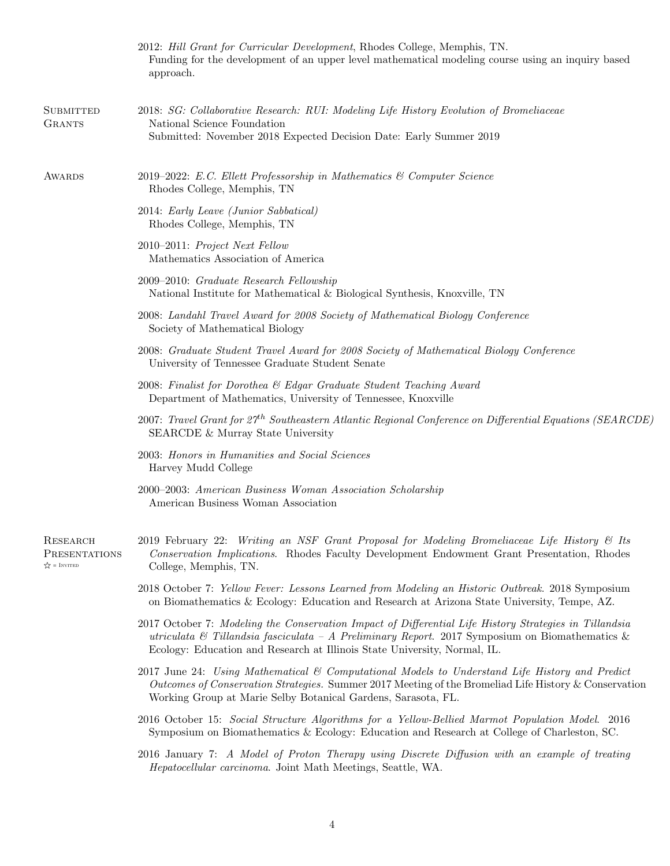|                                                      | 2012: Hill Grant for Curricular Development, Rhodes College, Memphis, TN.<br>Funding for the development of an upper level mathematical modeling course using an inquiry based<br>approach.                                                                                           |
|------------------------------------------------------|---------------------------------------------------------------------------------------------------------------------------------------------------------------------------------------------------------------------------------------------------------------------------------------|
| <b>SUBMITTED</b><br><b>GRANTS</b>                    | 2018: SG: Collaborative Research: RUI: Modeling Life History Evolution of Bromeliaceae<br>National Science Foundation<br>Submitted: November 2018 Expected Decision Date: Early Summer 2019                                                                                           |
| AWARDS                                               | 2019–2022: E.C. Ellett Professorship in Mathematics & Computer Science<br>Rhodes College, Memphis, TN                                                                                                                                                                                 |
|                                                      | 2014: Early Leave (Junior Sabbatical)<br>Rhodes College, Memphis, TN                                                                                                                                                                                                                  |
|                                                      | 2010–2011: Project Next Fellow<br>Mathematics Association of America                                                                                                                                                                                                                  |
|                                                      | 2009–2010: Graduate Research Fellowship<br>National Institute for Mathematical & Biological Synthesis, Knoxville, TN                                                                                                                                                                  |
|                                                      | 2008: Landahl Travel Award for 2008 Society of Mathematical Biology Conference<br>Society of Mathematical Biology                                                                                                                                                                     |
|                                                      | 2008: Graduate Student Travel Award for 2008 Society of Mathematical Biology Conference<br>University of Tennessee Graduate Student Senate                                                                                                                                            |
|                                                      | 2008: Finalist for Dorothea & Edgar Graduate Student Teaching Award<br>Department of Mathematics, University of Tennessee, Knoxville                                                                                                                                                  |
|                                                      | 2007: Travel Grant for $27^{th}$ Southeastern Atlantic Regional Conference on Differential Equations (SEARCDE)<br>SEARCDE & Murray State University                                                                                                                                   |
|                                                      | 2003: Honors in Humanities and Social Sciences<br>Harvey Mudd College                                                                                                                                                                                                                 |
|                                                      | 2000–2003: American Business Woman Association Scholarship<br>American Business Woman Association                                                                                                                                                                                     |
| RESEARCH<br>PRESENTATIONS<br>$\sqrt{\chi}$ = INVITED | 2019 February 22: Writing an NSF Grant Proposal for Modeling Bromeliaceae Life History & Its<br>Conservation Implications. Rhodes Faculty Development Endowment Grant Presentation, Rhodes<br>College, Memphis, TN.                                                                   |
|                                                      | 2018 October 7: Yellow Fever: Lessons Learned from Modeling an Historic Outbreak. 2018 Symposium<br>on Biomathematics & Ecology: Education and Research at Arizona State University, Tempe, AZ.                                                                                       |
|                                                      | 2017 October 7: Modeling the Conservation Impact of Differential Life History Strategies in Tillandsia<br>utriculata & Tillandsia fasciculata - A Preliminary Report. 2017 Symposium on Biomathematics &<br>Ecology: Education and Research at Illinois State University, Normal, IL. |
|                                                      | 2017 June 24: Using Mathematical & Computational Models to Understand Life History and Predict<br>Outcomes of Conservation Strategies. Summer 2017 Meeting of the Bromeliad Life History & Conservation<br>Working Group at Marie Selby Botanical Gardens, Sarasota, FL.              |
|                                                      | 2016 October 15: Social Structure Algorithms for a Yellow-Bellied Marmot Population Model. 2016<br>Symposium on Biomathematics & Ecology: Education and Research at College of Charleston, SC.                                                                                        |
|                                                      | 2016 January 7: A Model of Proton Therapy using Discrete Diffusion with an example of treating<br>Hepatocellular carcinoma. Joint Math Meetings, Seattle, WA.                                                                                                                         |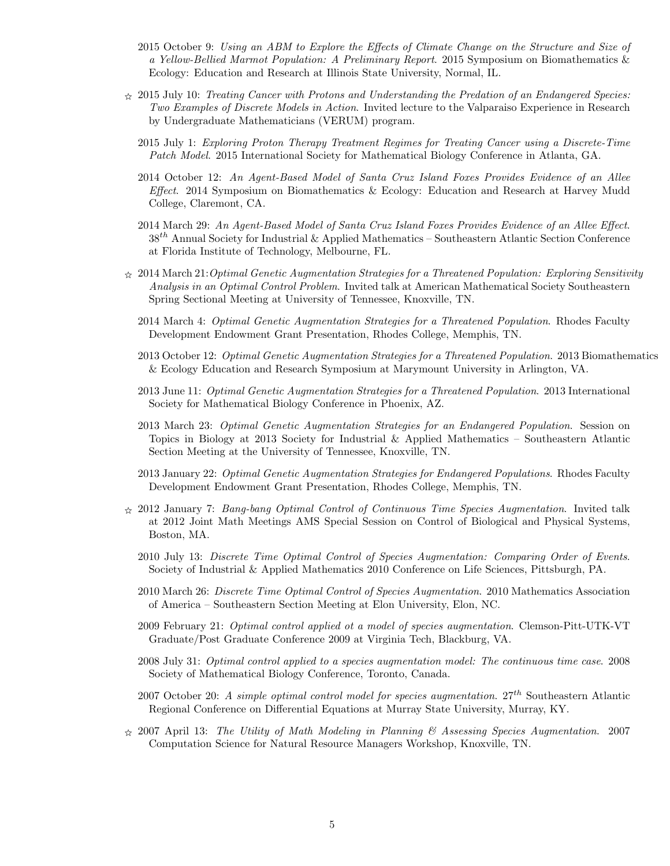- 2015 October 9: Using an ABM to Explore the Effects of Climate Change on the Structure and Size of a Yellow-Bellied Marmot Population: A Preliminary Report. 2015 Symposium on Biomathematics & Ecology: Education and Research at Illinois State University, Normal, IL.
- $\hat{\varphi}$  2015 July 10: Treating Cancer with Protons and Understanding the Predation of an Endangered Species: Two Examples of Discrete Models in Action. Invited lecture to the Valparaiso Experience in Research by Undergraduate Mathematicians (VERUM) program.
	- 2015 July 1: Exploring Proton Therapy Treatment Regimes for Treating Cancer using a Discrete-Time Patch Model. 2015 International Society for Mathematical Biology Conference in Atlanta, GA.
	- 2014 October 12: An Agent-Based Model of Santa Cruz Island Foxes Provides Evidence of an Allee Effect. 2014 Symposium on Biomathematics & Ecology: Education and Research at Harvey Mudd College, Claremont, CA.
	- 2014 March 29: An Agent-Based Model of Santa Cruz Island Foxes Provides Evidence of an Allee Effect.  $38<sup>th</sup>$  Annual Society for Industrial & Applied Mathematics – Southeastern Atlantic Section Conference at Florida Institute of Technology, Melbourne, FL.
- $\chi$  2014 March 21: Optimal Genetic Augmentation Strategies for a Threatened Population: Exploring Sensitivity Analysis in an Optimal Control Problem. Invited talk at American Mathematical Society Southeastern Spring Sectional Meeting at University of Tennessee, Knoxville, TN.
	- 2014 March 4: Optimal Genetic Augmentation Strategies for a Threatened Population. Rhodes Faculty Development Endowment Grant Presentation, Rhodes College, Memphis, TN.
	- 2013 October 12: Optimal Genetic Augmentation Strategies for a Threatened Population. 2013 Biomathematics & Ecology Education and Research Symposium at Marymount University in Arlington, VA.
	- 2013 June 11: Optimal Genetic Augmentation Strategies for a Threatened Population. 2013 International Society for Mathematical Biology Conference in Phoenix, AZ.
	- 2013 March 23: Optimal Genetic Augmentation Strategies for an Endangered Population. Session on Topics in Biology at 2013 Society for Industrial  $\&$  Applied Mathematics – Southeastern Atlantic Section Meeting at the University of Tennessee, Knoxville, TN.
	- 2013 January 22: Optimal Genetic Augmentation Strategies for Endangered Populations. Rhodes Faculty Development Endowment Grant Presentation, Rhodes College, Memphis, TN.
- $\hat{\chi}$  2012 January 7: Bang-bang Optimal Control of Continuous Time Species Augmentation. Invited talk at 2012 Joint Math Meetings AMS Special Session on Control of Biological and Physical Systems, Boston, MA.
	- 2010 July 13: Discrete Time Optimal Control of Species Augmentation: Comparing Order of Events. Society of Industrial & Applied Mathematics 2010 Conference on Life Sciences, Pittsburgh, PA.
	- 2010 March 26: Discrete Time Optimal Control of Species Augmentation. 2010 Mathematics Association of America – Southeastern Section Meeting at Elon University, Elon, NC.
	- 2009 February 21: Optimal control applied ot a model of species augmentation. Clemson-Pitt-UTK-VT Graduate/Post Graduate Conference 2009 at Virginia Tech, Blackburg, VA.
	- 2008 July 31: Optimal control applied to a species augmentation model: The continuous time case. 2008 Society of Mathematical Biology Conference, Toronto, Canada.
	- 2007 October 20: A simple optimal control model for species augmentation.  $27^{th}$  Southeastern Atlantic Regional Conference on Differential Equations at Murray State University, Murray, KY.
- $\approx$  2007 April 13: The Utility of Math Modeling in Planning & Assessing Species Augmentation. 2007 Computation Science for Natural Resource Managers Workshop, Knoxville, TN.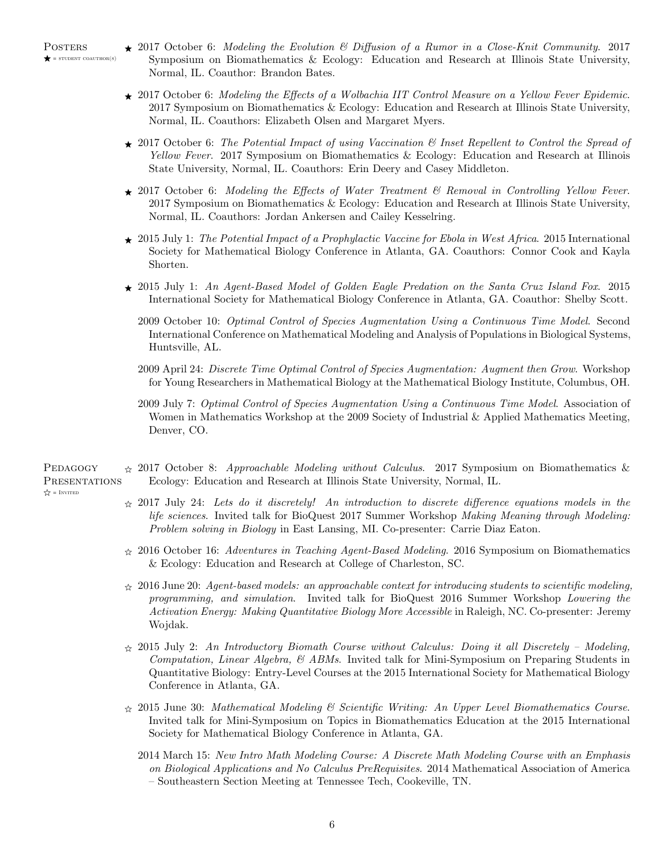- $\star$  2017 October 6: Modeling the Evolution & Diffusion of a Rumor in a Close-Knit Community. 2017 Symposium on Biomathematics & Ecology: Education and Research at Illinois State University, Normal, IL. Coauthor: Brandon Bates.
- $\star$  2017 October 6: Modeling the Effects of a Wolbachia IIT Control Measure on a Yellow Fever Epidemic. 2017 Symposium on Biomathematics & Ecology: Education and Research at Illinois State University, Normal, IL. Coauthors: Elizabeth Olsen and Margaret Myers.
- $\star$  2017 October 6: The Potential Impact of using Vaccination & Inset Repellent to Control the Spread of Yellow Fever. 2017 Symposium on Biomathematics & Ecology: Education and Research at Illinois State University, Normal, IL. Coauthors: Erin Deery and Casey Middleton.
- $\star$  2017 October 6: Modeling the Effects of Water Treatment & Removal in Controlling Yellow Fever. 2017 Symposium on Biomathematics & Ecology: Education and Research at Illinois State University, Normal, IL. Coauthors: Jordan Ankersen and Cailey Kesselring.
- $\star$  2015 July 1: The Potential Impact of a Prophylactic Vaccine for Ebola in West Africa. 2015 International Society for Mathematical Biology Conference in Atlanta, GA. Coauthors: Connor Cook and Kayla Shorten.
- $\star$  2015 July 1: An Agent-Based Model of Golden Eagle Predation on the Santa Cruz Island Fox. 2015 International Society for Mathematical Biology Conference in Atlanta, GA. Coauthor: Shelby Scott.
	- 2009 October 10: Optimal Control of Species Augmentation Using a Continuous Time Model. Second International Conference on Mathematical Modeling and Analysis of Populations in Biological Systems, Huntsville, AL.
	- 2009 April 24: Discrete Time Optimal Control of Species Augmentation: Augment then Grow. Workshop for Young Researchers in Mathematical Biology at the Mathematical Biology Institute, Columbus, OH.
	- 2009 July 7: Optimal Control of Species Augmentation Using a Continuous Time Model. Association of Women in Mathematics Workshop at the 2009 Society of Industrial & Applied Mathematics Meeting, Denver, CO.
- PEDAGOGY PRESENTATIONS  $\dot{\varphi}$  2017 October 8: Approachable Modeling without Calculus. 2017 Symposium on Biomathematics & Ecology: Education and Research at Illinois State University, Normal, IL.

 $x^4 = INVITED$ 

- $\star$  2017 July 24: Lets do it discretely! An introduction to discrete difference equations models in the life sciences. Invited talk for BioQuest 2017 Summer Workshop Making Meaning through Modeling: Problem solving in Biology in East Lansing, MI. Co-presenter: Carrie Diaz Eaton.
- $\angle$  2016 October 16: Adventures in Teaching Agent-Based Modeling. 2016 Symposium on Biomathematics & Ecology: Education and Research at College of Charleston, SC.
- $\approx$  2016 June 20: Agent-based models: an approachable context for introducing students to scientific modeling, programming, and simulation. Invited talk for BioQuest 2016 Summer Workshop Lowering the Activation Energy: Making Quantitative Biology More Accessible in Raleigh, NC. Co-presenter: Jeremy Wojdak.
- $\hat{\chi}$  2015 July 2: An Introductory Biomath Course without Calculus: Doing it all Discretely Modeling, Computation, Linear Algebra, & ABMs. Invited talk for Mini-Symposium on Preparing Students in Quantitative Biology: Entry-Level Courses at the 2015 International Society for Mathematical Biology Conference in Atlanta, GA.
- $\hat{\chi}$  2015 June 30: Mathematical Modeling & Scientific Writing: An Upper Level Biomathematics Course. Invited talk for Mini-Symposium on Topics in Biomathematics Education at the 2015 International Society for Mathematical Biology Conference in Atlanta, GA.
	- 2014 March 15: New Intro Math Modeling Course: A Discrete Math Modeling Course with an Emphasis on Biological Applications and No Calculus PreRequisites. 2014 Mathematical Association of America – Southeastern Section Meeting at Tennessee Tech, Cookeville, TN.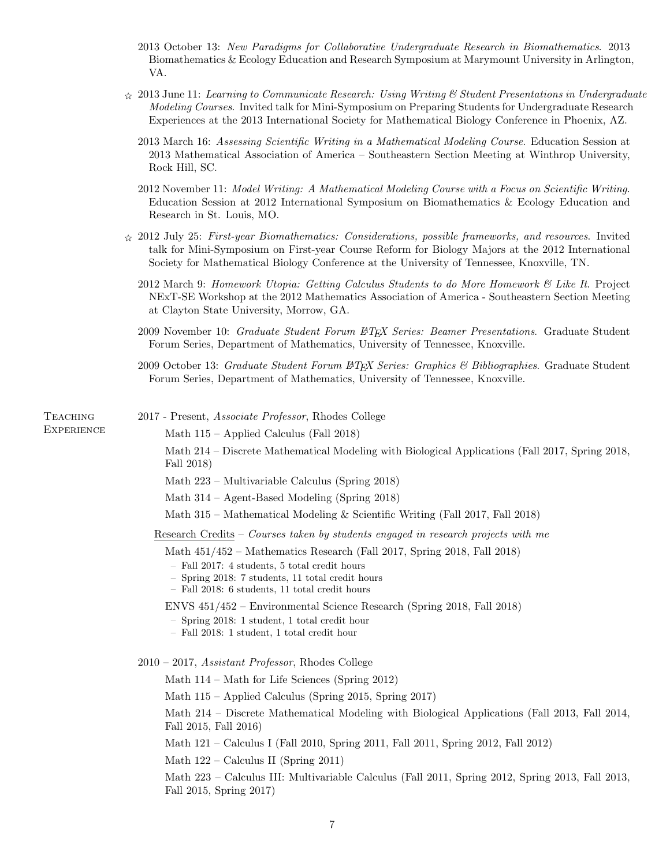- 2013 October 13: New Paradigms for Collaborative Undergraduate Research in Biomathematics. 2013 Biomathematics & Ecology Education and Research Symposium at Marymount University in Arlington, VA.
- $\hat{\chi}$  2013 June 11: Learning to Communicate Research: Using Writing & Student Presentations in Undergraduate Modeling Courses. Invited talk for Mini-Symposium on Preparing Students for Undergraduate Research Experiences at the 2013 International Society for Mathematical Biology Conference in Phoenix, AZ.
	- 2013 March 16: Assessing Scientific Writing in a Mathematical Modeling Course. Education Session at 2013 Mathematical Association of America – Southeastern Section Meeting at Winthrop University, Rock Hill, SC.
	- 2012 November 11: Model Writing: A Mathematical Modeling Course with a Focus on Scientific Writing. Education Session at 2012 International Symposium on Biomathematics & Ecology Education and Research in St. Louis, MO.
- $\angle$  2012 July 25: First-year Biomathematics: Considerations, possible frameworks, and resources. Invited talk for Mini-Symposium on First-year Course Reform for Biology Majors at the 2012 International Society for Mathematical Biology Conference at the University of Tennessee, Knoxville, TN.
	- 2012 March 9: Homework Utopia: Getting Calculus Students to do More Homework & Like It. Project NExT-SE Workshop at the 2012 Mathematics Association of America - Southeastern Section Meeting at Clayton State University, Morrow, GA.
	- 2009 November 10: Graduate Student Forum ET<sub>F</sub>X Series: Beamer Presentations. Graduate Student Forum Series, Department of Mathematics, University of Tennessee, Knoxville.
	- 2009 October 13: Graduate Student Forum  $\cancel{B}$ T<sub>E</sub>X Series: Graphics & Bibliographies. Graduate Student Forum Series, Department of Mathematics, University of Tennessee, Knoxville.

**TEACHING EXPERIENCE** 

- 2017 Present, Associate Professor, Rhodes College
	- Math 115 Applied Calculus (Fall 2018)

Math 214 – Discrete Mathematical Modeling with Biological Applications (Fall 2017, Spring 2018, Fall 2018)

Math 223 – Multivariable Calculus (Spring 2018)

Math 314 – Agent-Based Modeling (Spring 2018)

Math 315 – Mathematical Modeling & Scientific Writing (Fall 2017, Fall 2018)

Research Credits – Courses taken by students engaged in research projects with me

Math 451/452 – Mathematics Research (Fall 2017, Spring 2018, Fall 2018)

- Fall 2017: 4 students, 5 total credit hours
- Spring 2018: 7 students, 11 total credit hours
- Fall 2018: 6 students, 11 total credit hours

ENVS 451/452 – Environmental Science Research (Spring 2018, Fall 2018)

- Spring 2018: 1 student, 1 total credit hour
- Fall 2018: 1 student, 1 total credit hour

2010 – 2017, Assistant Professor, Rhodes College

Math 114 – Math for Life Sciences (Spring 2012)

Math 115 – Applied Calculus (Spring 2015, Spring 2017)

Math 214 – Discrete Mathematical Modeling with Biological Applications (Fall 2013, Fall 2014, Fall 2015, Fall 2016)

Math 121 – Calculus I (Fall 2010, Spring 2011, Fall 2011, Spring 2012, Fall 2012)

Math 122 – Calculus II (Spring 2011)

Math 223 – Calculus III: Multivariable Calculus (Fall 2011, Spring 2012, Spring 2013, Fall 2013, Fall 2015, Spring 2017)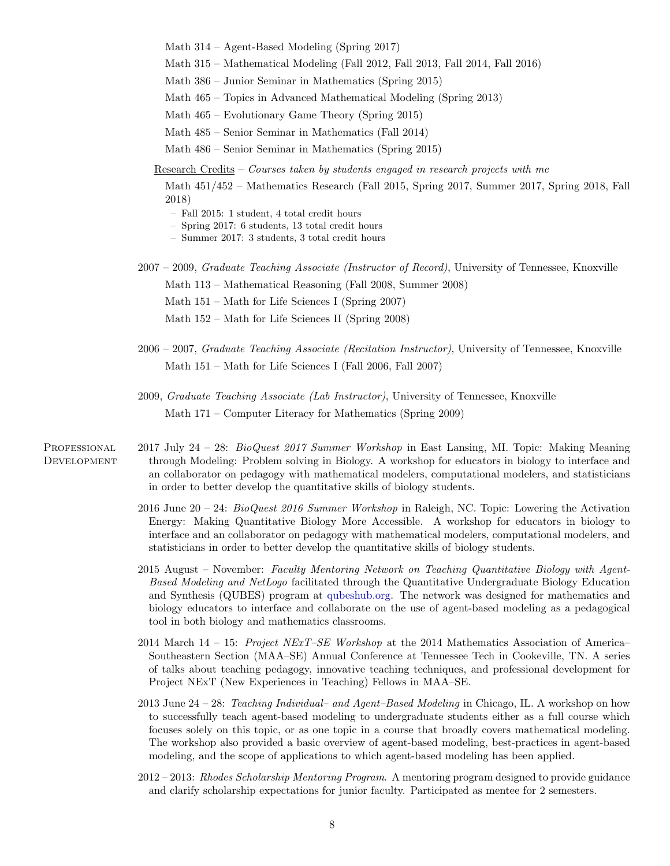Math 314 – Agent-Based Modeling (Spring 2017)

- Math 315 Mathematical Modeling (Fall 2012, Fall 2013, Fall 2014, Fall 2016)
- Math 386 Junior Seminar in Mathematics (Spring 2015)

Math 465 – Topics in Advanced Mathematical Modeling (Spring 2013)

- Math 465 Evolutionary Game Theory (Spring 2015)
- Math 485 Senior Seminar in Mathematics (Fall 2014)

Math 486 – Senior Seminar in Mathematics (Spring 2015)

Research Credits – Courses taken by students engaged in research projects with me

Math 451/452 – Mathematics Research (Fall 2015, Spring 2017, Summer 2017, Spring 2018, Fall 2018)

- Fall 2015: 1 student, 4 total credit hours
- Spring 2017: 6 students, 13 total credit hours
- Summer 2017: 3 students, 3 total credit hours

2007 – 2009, Graduate Teaching Associate (Instructor of Record), University of Tennessee, Knoxville Math 113 – Mathematical Reasoning (Fall 2008, Summer 2008)

Math 151 – Math for Life Sciences I (Spring 2007)

- Math 152 Math for Life Sciences II (Spring 2008)
- 2006 2007, Graduate Teaching Associate (Recitation Instructor), University of Tennessee, Knoxville Math 151 – Math for Life Sciences I (Fall 2006, Fall 2007)
- 2009, Graduate Teaching Associate (Lab Instructor), University of Tennessee, Knoxville Math 171 – Computer Literacy for Mathematics (Spring 2009)
- **PROFESSIONAL DEVELOPMENT** 2017 July 24 – 28: BioQuest 2017 Summer Workshop in East Lansing, MI. Topic: Making Meaning through Modeling: Problem solving in Biology. A workshop for educators in biology to interface and an collaborator on pedagogy with mathematical modelers, computational modelers, and statisticians in order to better develop the quantitative skills of biology students.
	- 2016 June 20 24: BioQuest 2016 Summer Workshop in Raleigh, NC. Topic: Lowering the Activation Energy: Making Quantitative Biology More Accessible. A workshop for educators in biology to interface and an collaborator on pedagogy with mathematical modelers, computational modelers, and statisticians in order to better develop the quantitative skills of biology students.
	- 2015 August November: Faculty Mentoring Network on Teaching Quantitative Biology with Agent-Based Modeling and NetLogo facilitated through the Quantitative Undergraduate Biology Education and Synthesis (QUBES) program at [qubeshub.org.](http://qubeshub.org) The network was designed for mathematics and biology educators to interface and collaborate on the use of agent-based modeling as a pedagogical tool in both biology and mathematics classrooms.
	- 2014 March 14 15: Project NExT–SE Workshop at the 2014 Mathematics Association of America– Southeastern Section (MAA–SE) Annual Conference at Tennessee Tech in Cookeville, TN. A series of talks about teaching pedagogy, innovative teaching techniques, and professional development for Project NExT (New Experiences in Teaching) Fellows in MAA–SE.
	- 2013 June 24 28: Teaching Individual– and Agent–Based Modeling in Chicago, IL. A workshop on how to successfully teach agent-based modeling to undergraduate students either as a full course which focuses solely on this topic, or as one topic in a course that broadly covers mathematical modeling. The workshop also provided a basic overview of agent-based modeling, best-practices in agent-based modeling, and the scope of applications to which agent-based modeling has been applied.
	- 2012 2013: Rhodes Scholarship Mentoring Program. A mentoring program designed to provide guidance and clarify scholarship expectations for junior faculty. Participated as mentee for 2 semesters.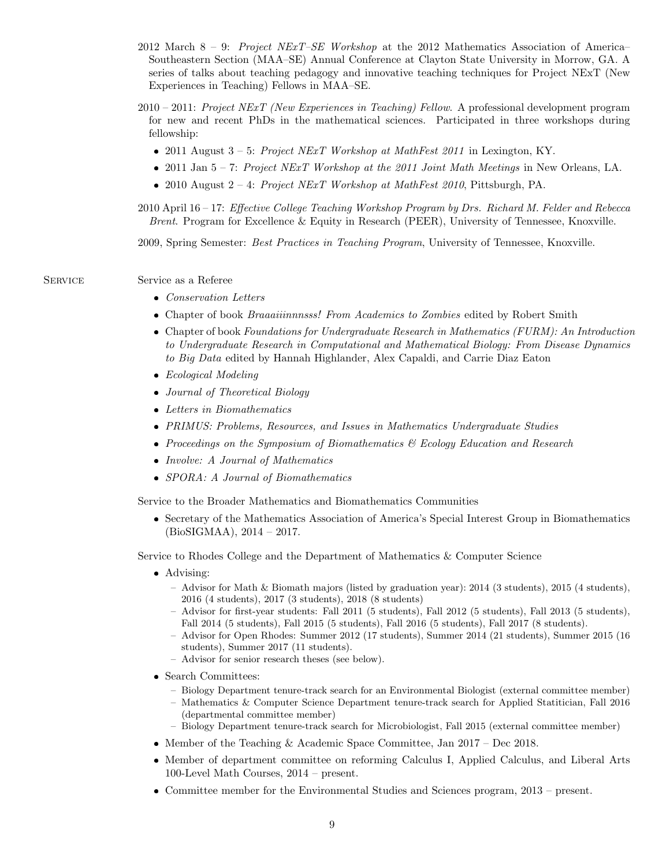- 2012 March  $8 9$ : Project NExT–SE Workshop at the 2012 Mathematics Association of America– Southeastern Section (MAA–SE) Annual Conference at Clayton State University in Morrow, GA. A series of talks about teaching pedagogy and innovative teaching techniques for Project NExT (New Experiences in Teaching) Fellows in MAA–SE.
- $2010 2011$ : Project NExT (New Experiences in Teaching) Fellow. A professional development program for new and recent PhDs in the mathematical sciences. Participated in three workshops during fellowship:
	- 2011 August  $3 5$ : Project NExT Workshop at MathFest 2011 in Lexington, KY.
	- 2011 Jan  $5 7$ : Project NExT Workshop at the 2011 Joint Math Meetings in New Orleans, LA.
	- 2010 August  $2 4$ : Project NExT Workshop at MathFest 2010, Pittsburgh, PA.
- 2010 April 16 17: Effective College Teaching Workshop Program by Drs. Richard M. Felder and Rebecca Brent. Program for Excellence & Equity in Research (PEER), University of Tennessee, Knoxville.

2009, Spring Semester: Best Practices in Teaching Program, University of Tennessee, Knoxville.

Service Service as a Referee

- Conservation Letters
- Chapter of book Braaaiiinnnsss! From Academics to Zombies edited by Robert Smith
- Chapter of book Foundations for Undergraduate Research in Mathematics (FURM): An Introduction to Undergraduate Research in Computational and Mathematical Biology: From Disease Dynamics to Big Data edited by Hannah Highlander, Alex Capaldi, and Carrie Diaz Eaton
- Ecological Modeling
- Journal of Theoretical Biology
- Letters in Biomathematics
- PRIMUS: Problems, Resources, and Issues in Mathematics Undergraduate Studies
- Proceedings on the Symposium of Biomathematics & Ecology Education and Research
- Involve: A Journal of Mathematics
- SPORA: A Journal of Biomathematics

Service to the Broader Mathematics and Biomathematics Communities

 Secretary of the Mathematics Association of America's Special Interest Group in Biomathematics (BioSIGMAA), 2014 – 2017.

Service to Rhodes College and the Department of Mathematics & Computer Science

- Advising:
	- Advisor for Math & Biomath majors (listed by graduation year): 2014 (3 students), 2015 (4 students), 2016 (4 students), 2017 (3 students), 2018 (8 students)
	- Advisor for first-year students: Fall 2011 (5 students), Fall 2012 (5 students), Fall 2013 (5 students), Fall 2014 (5 students), Fall 2015 (5 students), Fall 2016 (5 students), Fall 2017 (8 students).
	- Advisor for Open Rhodes: Summer 2012 (17 students), Summer 2014 (21 students), Summer 2015 (16 students), Summer 2017 (11 students).
	- Advisor for senior research theses (see below).
- Search Committees:
	- Biology Department tenure-track search for an Environmental Biologist (external committee member)
	- Mathematics & Computer Science Department tenure-track search for Applied Statitician, Fall 2016 (departmental committee member)
	- Biology Department tenure-track search for Microbiologist, Fall 2015 (external committee member)
- Member of the Teaching & Academic Space Committee, Jan  $2017$  Dec 2018.
- Member of department committee on reforming Calculus I, Applied Calculus, and Liberal Arts 100-Level Math Courses, 2014 – present.
- Committee member for the Environmental Studies and Sciences program, 2013 present.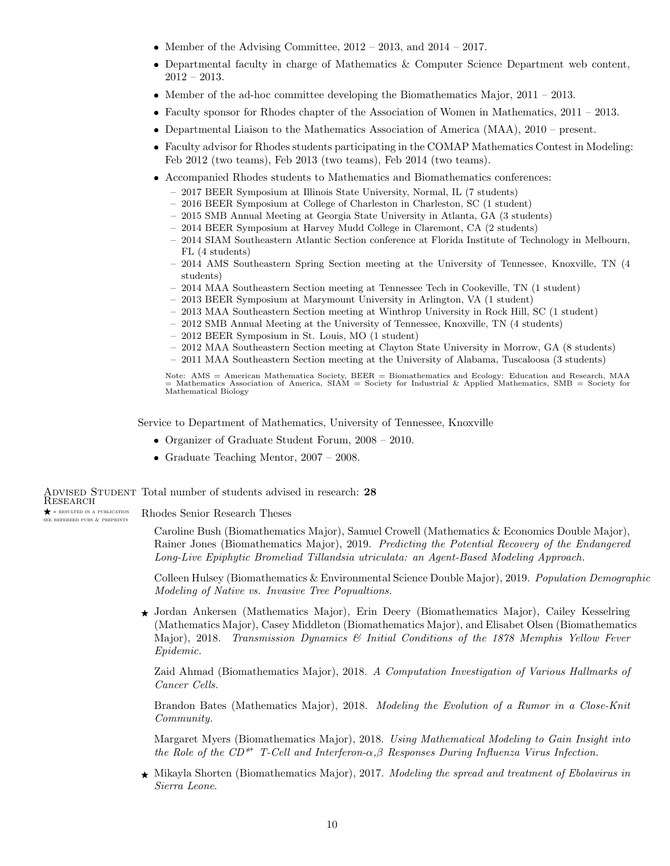- Member of the Advising Committee,  $2012 2013$ , and  $2014 2017$ .
- Departmental faculty in charge of Mathematics & Computer Science Department web content, 2012 – 2013.
- Member of the ad-hoc committee developing the Biomathematics Major,  $2011 2013$ .
- Faculty sponsor for Rhodes chapter of the Association of Women in Mathematics, 2011 2013.
- Departmental Liaison to the Mathematics Association of America (MAA), 2010 present.
- Faculty advisor for Rhodes students participating in the COMAP Mathematics Contest in Modeling: Feb 2012 (two teams), Feb 2013 (two teams), Feb 2014 (two teams).
- Accompanied Rhodes students to Mathematics and Biomathematics conferences:
	- 2017 BEER Symposium at Illinois State University, Normal, IL (7 students)
	- 2016 BEER Symposium at College of Charleston in Charleston, SC (1 student)
	- 2015 SMB Annual Meeting at Georgia State University in Atlanta, GA (3 students)
	- 2014 BEER Symposium at Harvey Mudd College in Claremont, CA (2 students)
	- 2014 SIAM Southeastern Atlantic Section conference at Florida Institute of Technology in Melbourn, FL (4 students)
	- 2014 AMS Southeastern Spring Section meeting at the University of Tennessee, Knoxville, TN (4 students)
	- 2014 MAA Southeastern Section meeting at Tennessee Tech in Cookeville, TN (1 student)
	- 2013 BEER Symposium at Marymount University in Arlington, VA (1 student)
	- 2013 MAA Southeastern Section meeting at Winthrop University in Rock Hill, SC (1 student)
	- 2012 SMB Annual Meeting at the University of Tennessee, Knoxville, TN (4 students)
	- 2012 BEER Symposium in St. Louis, MO (1 student)
	- 2012 MAA Southeastern Section meeting at Clayton State University in Morrow, GA (8 students)
	- 2011 MAA Southeastern Section meeting at the University of Alabama, Tuscaloosa (3 students)

Note: AMS = American Mathematica Society, BEER = Biomathematics and Ecology: Education and Research, MAA  $=$  Mathematics Association of America, SIAM = Society for Industrial & Applied Mathematics, SMB = Society for Mathematical Biology

Service to Department of Mathematics, University of Tennessee, Knoxville

- Organizer of Graduate Student Forum, 2008 2010.
- Graduate Teaching Mentor,  $2007 2008$ .

Advised Student Total number of students advised in research: 28 Research  $\bigstar$  = RESULTED IN A PUBLICATION see refereed pubs & preprints Rhodes Senior Research Theses

> Caroline Bush (Biomathematics Major), Samuel Crowell (Mathematics & Economics Double Major), Rainer Jones (Biomathematics Major), 2019. Predicting the Potential Recovery of the Endangered Long-Live Epiphytic Bromeliad Tillandsia utriculata: an Agent-Based Modeling Approach.

Colleen Hulsey (Biomathematics & Environmental Science Double Major), 2019. Population Demographic Modeling of Native vs. Invasive Tree Popualtions.

☀ Jordan Ankersen (Mathematics Major), Erin Deery (Biomathematics Major), Cailey Kesselring (Mathematics Major), Casey Middleton (Biomathematics Major), and Elisabet Olsen (Biomathematics Major), 2018. Transmission Dynamics & Initial Conditions of the 1878 Memphis Yellow Fever Epidemic.

Zaid Ahmad (Biomathematics Major), 2018. A Computation Investigation of Various Hallmarks of Cancer Cells.

Brandon Bates (Mathematics Major), 2018. Modeling the Evolution of a Rumor in a Close-Knit Community.

Margaret Myers (Biomathematics Major), 2018. Using Mathematical Modeling to Gain Insight into the Role of the CD<sup>\*+</sup> T-Cell and Interferon- $\alpha,\beta$  Responses During Influenza Virus Infection.

 $\star$  Mikayla Shorten (Biomathematics Major), 2017. Modeling the spread and treatment of Ebolavirus in Sierra Leone.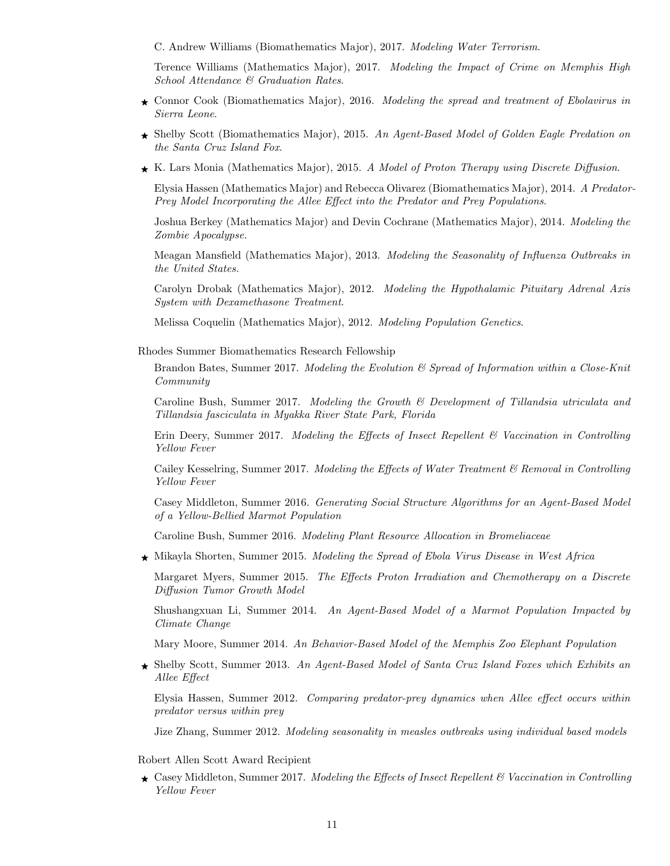C. Andrew Williams (Biomathematics Major), 2017. Modeling Water Terrorism.

Terence Williams (Mathematics Major), 2017. Modeling the Impact of Crime on Memphis High School Attendance & Graduation Rates.

- $\star$  Connor Cook (Biomathematics Major), 2016. Modeling the spread and treatment of Ebolavirus in Sierra Leone.
- ☀ Shelby Scott (Biomathematics Major), 2015. An Agent-Based Model of Golden Eagle Predation on the Santa Cruz Island Fox.
- ☀ K. Lars Monia (Mathematics Major), 2015. A Model of Proton Therapy using Discrete Diffusion.

Elysia Hassen (Mathematics Major) and Rebecca Olivarez (Biomathematics Major), 2014. A Predator-Prey Model Incorporating the Allee Effect into the Predator and Prey Populations.

Joshua Berkey (Mathematics Major) and Devin Cochrane (Mathematics Major), 2014. Modeling the Zombie Apocalypse.

Meagan Mansfield (Mathematics Major), 2013. *Modeling the Seasonality of Influenza Outbreaks in* the United States.

Carolyn Drobak (Mathematics Major), 2012. Modeling the Hypothalamic Pituitary Adrenal Axis System with Dexamethasone Treatment.

Melissa Coquelin (Mathematics Major), 2012. Modeling Population Genetics.

Rhodes Summer Biomathematics Research Fellowship

Brandon Bates, Summer 2017. Modeling the Evolution  $\mathcal{C}'$  Spread of Information within a Close-Knit Community

Caroline Bush, Summer 2017. Modeling the Growth & Development of Tillandsia utriculata and Tillandsia fasciculata in Myakka River State Park, Florida

Erin Deery, Summer 2017. Modeling the Effects of Insect Repellent  $\mathscr B$  Vaccination in Controlling Yellow Fever

Cailey Kesselring, Summer 2017. Modeling the Effects of Water Treatment  $\mathscr B$  Removal in Controlling Yellow Fever

Casey Middleton, Summer 2016. Generating Social Structure Algorithms for an Agent-Based Model of a Yellow-Bellied Marmot Population

Caroline Bush, Summer 2016. Modeling Plant Resource Allocation in Bromeliaceae

 $\star$  Mikayla Shorten, Summer 2015. Modeling the Spread of Ebola Virus Disease in West Africa

Margaret Myers, Summer 2015. The Effects Proton Irradiation and Chemotherapy on a Discrete Diffusion Tumor Growth Model

Shushangxuan Li, Summer 2014. An Agent-Based Model of a Marmot Population Impacted by Climate Change

Mary Moore, Summer 2014. An Behavior-Based Model of the Memphis Zoo Elephant Population

 $\star$  Shelby Scott, Summer 2013. An Agent-Based Model of Santa Cruz Island Foxes which Exhibits an Allee Effect

Elysia Hassen, Summer 2012. Comparing predator-prey dynamics when Allee effect occurs within predator versus within prey

Jize Zhang, Summer 2012. Modeling seasonality in measles outbreaks using individual based models

Robert Allen Scott Award Recipient

 $\star$  Casey Middleton, Summer 2017. Modeling the Effects of Insect Repellent & Vaccination in Controlling Yellow Fever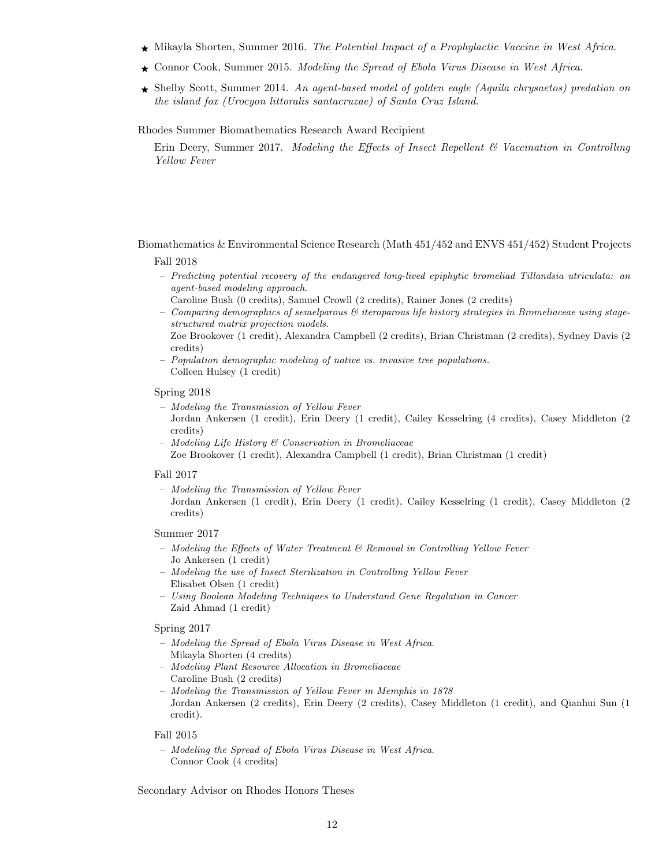- ☀ Mikayla Shorten, Summer 2016. The Potential Impact of a Prophylactic Vaccine in West Africa.
- $\star$  Connor Cook, Summer 2015. Modeling the Spread of Ebola Virus Disease in West Africa.
- $\star$  Shelby Scott, Summer 2014. An agent-based model of golden eagle (Aquila chrysaetos) predation on the island fox (Urocyon littoralis santacruzae) of Santa Cruz Island.

Rhodes Summer Biomathematics Research Award Recipient

Erin Deery, Summer 2017. Modeling the Effects of Insect Repellent  $\mathcal{B}$  Vaccination in Controlling Yellow Fever

Biomathematics & Environmental Science Research (Math 451/452 and ENVS 451/452) Student Projects

#### Fall 2018

- Predicting potential recovery of the endangered long-lived epiphytic bromeliad Tillandsia utriculata: an agent-based modeling approach.
	- Caroline Bush (0 credits), Samuel Crowll (2 credits), Rainer Jones (2 credits)
- Comparing demographics of semelparous  $\mathcal B$  iteroparous life history strategies in Bromeliaceae using stagestructured matrix projection models.
- Zoe Brookover (1 credit), Alexandra Campbell (2 credits), Brian Christman (2 credits), Sydney Davis (2 credits)
- Population demographic modeling of native vs. invasive tree populations. Colleen Hulsey (1 credit)

## Spring 2018

- Modeling the Transmission of Yellow Fever
- Jordan Ankersen (1 credit), Erin Deery (1 credit), Cailey Kesselring (4 credits), Casey Middleton (2 credits)
- Modeling Life History & Conservation in Bromeliaceae Zoe Brookover (1 credit), Alexandra Campbell (1 credit), Brian Christman (1 credit)

#### Fall 2017

– Modeling the Transmission of Yellow Fever

Jordan Ankersen (1 credit), Erin Deery (1 credit), Cailey Kesselring (1 credit), Casey Middleton (2 credits)

## Summer 2017

- $-$  Modeling the Effects of Water Treatment  $\mathcal{B}$  Removal in Controlling Yellow Fever Jo Ankersen (1 credit)
- Modeling the use of Insect Sterilization in Controlling Yellow Fever Elisabet Olsen (1 credit)
- Using Boolean Modeling Techniques to Understand Gene Regulation in Cancer Zaid Ahmad (1 credit)

### Spring 2017

- Modeling the Spread of Ebola Virus Disease in West Africa. Mikayla Shorten (4 credits)
- Modeling Plant Resource Allocation in Bromeliaceae Caroline Bush (2 credits)
- Modeling the Transmission of Yellow Fever in Memphis in 1878 Jordan Ankersen (2 credits), Erin Deery (2 credits), Casey Middleton (1 credit), and Qianhui Sun (1 credit).

#### Fall 2015

– Modeling the Spread of Ebola Virus Disease in West Africa. Connor Cook (4 credits)

Secondary Advisor on Rhodes Honors Theses